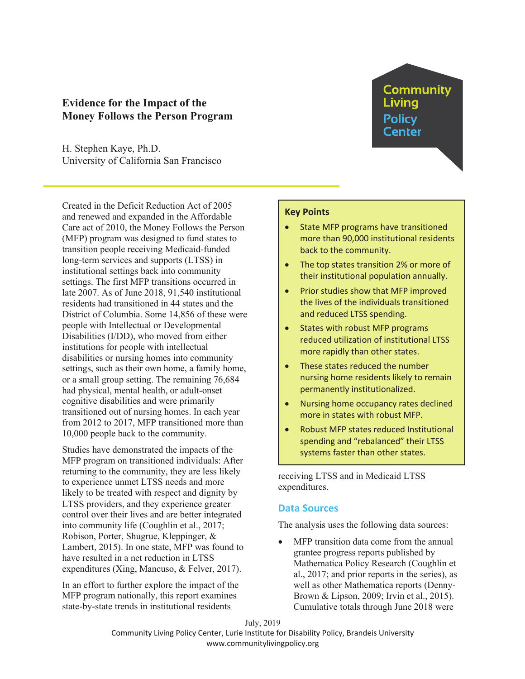# **Evidence for the Impact of the Money Follows the Person Program**

H. Stephen Kaye, Ph.D. University of California San Francisco

Created in the Deficit Reduction Act of 2005 and renewed and expanded in the Affordable Care act of 2010, the Money Follows the Person (MFP) program was designed to fund states to transition people receiving Medicaid-funded long-term services and supports (LTSS) in institutional settings back into community settings. The first MFP transitions occurred in late 2007. As of June 2018, 91,540 institutional residents had transitioned in 44 states and the District of Columbia. Some 14,856 of these were people with Intellectual or Developmental Disabilities (I/DD), who moved from either institutions for people with intellectual disabilities or nursing homes into community settings, such as their own home, a family home, or a small group setting. The remaining 76,684 had physical, mental health, or adult-onset cognitive disabilities and were primarily transitioned out of nursing homes. In each year from 2012 to 2017, MFP transitioned more than 10,000 people back to the community.

Studies have demonstrated the impacts of the MFP program on transitioned individuals: After returning to the community, they are less likely to experience unmet LTSS needs and more likely to be treated with respect and dignity by LTSS providers, and they experience greater control over their lives and are better integrated into community life (Coughlin et al., 2017; Robison, Porter, Shugrue, Kleppinger, & Lambert, 2015). In one state, MFP was found to have resulted in a net reduction in LTSS expenditures (Xing, Mancuso, & Felver, 2017).

In an effort to further explore the impact of the MFP program nationally, this report examines state-by-state trends in institutional residents

# **Key Points**

State MFP programs have transitioned more than 90,000 institutional residents back to the community.

**Community** 

Living Policv Center

- The top states transition 2% or more of their institutional population annually.
- Prior studies show that MFP improved the lives of the individuals transitioned and reduced LTSS spending.
- States with robust MFP programs reduced utilization of institutional LTSS more rapidly than other states.
- These states reduced the number nursing home residents likely to remain permanently institutionalized.
- Nursing home occupancy rates declined more in states with robust MFP.
- Robust MFP states reduced Institutional spending and "rebalanced" their LTSS systems faster than other states.

receiving LTSS and in Medicaid LTSS expenditures.

# **Data Sources**

The analysis uses the following data sources:

MFP transition data come from the annual grantee progress reports published by Mathematica Policy Research (Coughlin et al., 2017; and prior reports in the series), as well as other Mathematica reports (Denny-Brown & Lipson, 2009; Irvin et al., 2015). Cumulative totals through June 2018 were

July, 2019 Community Living Policy Center, Lurie Institute for Disability Policy, Brandeis University www.communitylivingpolicy.org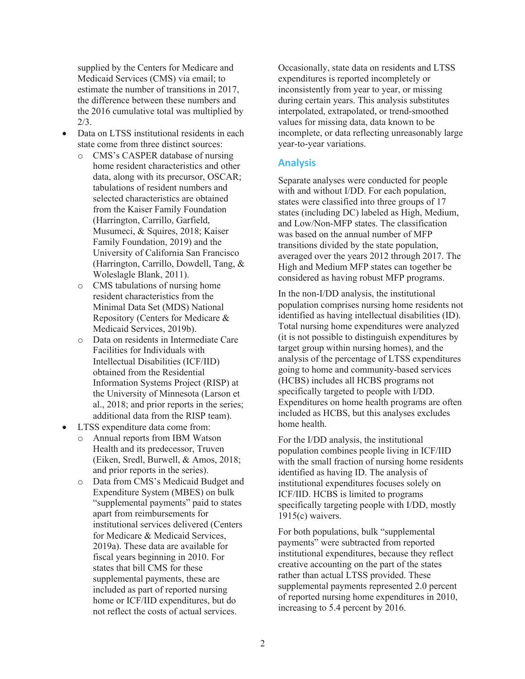supplied by the Centers for Medicare and Medicaid Services (CMS) via email; to estimate the number of transitions in 2017, the difference between these numbers and the 2016 cumulative total was multiplied by 2/3.

- Data on LTSS institutional residents in each state come from three distinct sources:
	- o CMS's CASPER database of nursing home resident characteristics and other data, along with its precursor, OSCAR; tabulations of resident numbers and selected characteristics are obtained from the Kaiser Family Foundation (Harrington, Carrillo, Garfield, Musumeci, & Squires, 2018; Kaiser Family Foundation, 2019) and the University of California San Francisco (Harrington, Carrillo, Dowdell, Tang, & Woleslagle Blank, 2011).
	- o CMS tabulations of nursing home resident characteristics from the Minimal Data Set (MDS) National Repository (Centers for Medicare & Medicaid Services, 2019b).
	- o Data on residents in Intermediate Care Facilities for Individuals with Intellectual Disabilities (ICF/IID) obtained from the Residential Information Systems Project (RISP) at the University of Minnesota (Larson et al., 2018; and prior reports in the series; additional data from the RISP team).
- LTSS expenditure data come from:
	- o Annual reports from IBM Watson Health and its predecessor, Truven (Eiken, Sredl, Burwell, & Amos, 2018; and prior reports in the series).
	- o Data from CMS's Medicaid Budget and Expenditure System (MBES) on bulk "supplemental payments" paid to states apart from reimbursements for institutional services delivered (Centers for Medicare & Medicaid Services, 2019a). These data are available for fiscal years beginning in 2010. For states that bill CMS for these supplemental payments, these are included as part of reported nursing home or ICF/IID expenditures, but do not reflect the costs of actual services.

Occasionally, state data on residents and LTSS expenditures is reported incompletely or inconsistently from year to year, or missing during certain years. This analysis substitutes interpolated, extrapolated, or trend-smoothed values for missing data, data known to be incomplete, or data reflecting unreasonably large year-to-year variations.

# **Analysis**

Separate analyses were conducted for people with and without I/DD. For each population, states were classified into three groups of 17 states (including DC) labeled as High, Medium, and Low/Non-MFP states. The classification was based on the annual number of MFP transitions divided by the state population, averaged over the years 2012 through 2017. The High and Medium MFP states can together be considered as having robust MFP programs.

In the non-I/DD analysis, the institutional population comprises nursing home residents not identified as having intellectual disabilities (ID). Total nursing home expenditures were analyzed (it is not possible to distinguish expenditures by target group within nursing homes), and the analysis of the percentage of LTSS expenditures going to home and community-based services (HCBS) includes all HCBS programs not specifically targeted to people with I/DD. Expenditures on home health programs are often included as HCBS, but this analyses excludes home health.

For the I/DD analysis, the institutional population combines people living in ICF/IID with the small fraction of nursing home residents identified as having ID. The analysis of institutional expenditures focuses solely on ICF/IID. HCBS is limited to programs specifically targeting people with I/DD, mostly  $1915(c)$  waivers.

For both populations, bulk "supplemental payments" were subtracted from reported institutional expenditures, because they reflect creative accounting on the part of the states rather than actual LTSS provided. These supplemental payments represented 2.0 percent of reported nursing home expenditures in 2010, increasing to 5.4 percent by 2016.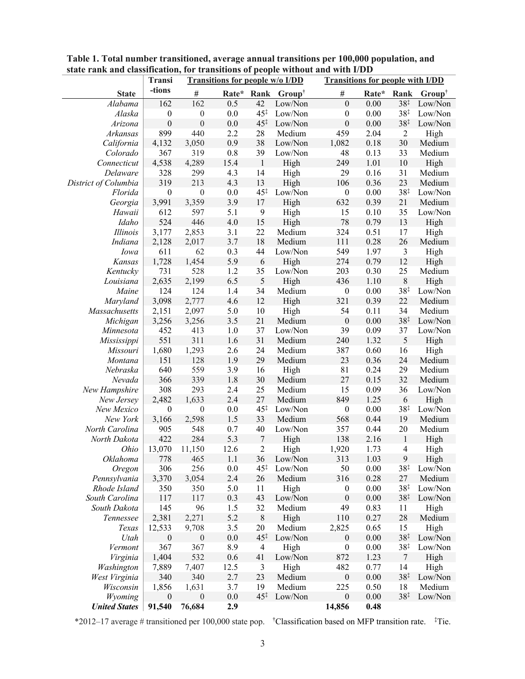|                      | Transi           | <b>Transitions for people w/o I/DD</b> |            |                       |                   |                  | <b>Transitions for people with I/DD</b> |                         |                   |  |
|----------------------|------------------|----------------------------------------|------------|-----------------------|-------------------|------------------|-----------------------------------------|-------------------------|-------------------|--|
| <b>State</b>         | -tions           | $\#$                                   | Rate* Rank |                       | $Group^{\dagger}$ | $\#$             | Rate*                                   | Rank                    | $Group^{\dagger}$ |  |
| Alabama              | 162              | 162                                    | 0.5        | 42                    | Low/Non           | $\boldsymbol{0}$ | 0.00                                    | 38‡                     | Low/Non           |  |
| Alaska               | $\boldsymbol{0}$ | $\boldsymbol{0}$                       | $0.0\,$    | $45^{\ddagger}$       | Low/Non           | $\boldsymbol{0}$ | $0.00\,$                                | $38^{\ddagger}$         | Low/Non           |  |
| Arizona              | $\boldsymbol{0}$ | $\boldsymbol{0}$                       | $0.0\,$    | $45^{\ddagger}$       | Low/Non           | $\boldsymbol{0}$ | 0.00                                    | $38^{\ddagger}$         | Low/Non           |  |
| Arkansas             | 899              | 440                                    | 2.2        | 28                    | Medium            | 459              | 2.04                                    | $\overline{2}$          | High              |  |
| California           | 4,132            | 3,050                                  | 0.9        | 38                    | Low/Non           | 1,082            | 0.18                                    | 30                      | Medium            |  |
| Colorado             | 367              | 319                                    | $0.8\,$    | 39                    | Low/Non           | 48               | 0.13                                    | 33                      | Medium            |  |
| Connecticut          | 4,538            | 4,289                                  | 15.4       | $\mathbf{1}$          | High              | 249              | 1.01                                    | $10\,$                  | High              |  |
| Delaware             | 328              | 299                                    | 4.3        | 14                    | High              | 29               | 0.16                                    | 31                      | Medium            |  |
| District of Columbia | 319              | 213                                    | 4.3        | 13                    | High              | 106              | 0.36                                    | 23                      | Medium            |  |
| Florida              | $\boldsymbol{0}$ | $\boldsymbol{0}$                       | $0.0\,$    | $45^{\ddagger}$       | Low/Non           | $\boldsymbol{0}$ | $0.00\,$                                | $38^{\ddagger}$         | Low/Non           |  |
| Georgia              | 3,991            | 3,359                                  | 3.9        | 17                    | High              | 632              | 0.39                                    | 21                      | Medium            |  |
| Hawaii               | 612              | 597                                    | 5.1        | 9                     | High              | 15               | 0.10                                    | 35                      | Low/Non           |  |
| Idaho                | 524              | 446                                    | 4.0        | 15                    | High              | 78               | 0.79                                    | 13                      | High              |  |
| Illinois             | 3,177            | 2,853                                  | 3.1        | 22                    | Medium            | 324              | 0.51                                    | 17                      | High              |  |
| Indiana              | 2,128            | 2,017                                  | 3.7        | 18                    | Medium            | 111              | 0.28                                    | 26                      | Medium            |  |
| Iowa                 | 611              | 62                                     | 0.3        | 44                    | Low/Non           | 549              | 1.97                                    | $\mathfrak{Z}$          | High              |  |
| Kansas               | 1,728            | 1,454                                  | 5.9        | 6                     | High              | 274              | 0.79                                    | 12                      | High              |  |
| Kentucky             | 731              | 528                                    | 1.2        | 35                    | Low/Non           | 203              | 0.30                                    | 25                      | Medium            |  |
| Louisiana            | 2,635            | 2,199                                  | 6.5        | 5                     | High              | 436              | 1.10                                    | $8\,$                   | High              |  |
| Maine                | 124              | 124                                    | 1.4        | 34                    | Medium            | $\boldsymbol{0}$ | $0.00\,$                                | $38^{\ddagger}$         | Low/Non           |  |
| Maryland             | 3,098            | 2,777                                  | 4.6        | 12                    | High              | 321              | 0.39                                    | 22                      | Medium            |  |
| Massachusetts        | 2,151            | 2,097                                  | 5.0        | 10                    | High              | 54               | 0.11                                    | 34                      | Medium            |  |
| Michigan             | 3,256            | 3,256                                  | 3.5        | 21                    | Medium            | $\boldsymbol{0}$ | 0.00                                    | $38^{\ddagger}$         | Low/Non           |  |
| Minnesota            | 452              | 413                                    | 1.0        | 37                    | Low/Non           | 39               | 0.09                                    | 37                      | Low/Non           |  |
| Mississippi          | 551              | 311                                    | 1.6        | 31                    | Medium            | 240              | 1.32                                    | 5                       | High              |  |
| Missouri             | 1,680            | 1,293                                  | 2.6        | 24                    | Medium            | 387              | 0.60                                    | 16                      | High              |  |
| Montana              | 151              | 128                                    | 1.9        | 29                    | Medium            | 23               | 0.36                                    | 24                      | Medium            |  |
| Nebraska             | 640              | 559                                    | 3.9        | 16                    | High              | 81               | 0.24                                    | 29                      | Medium            |  |
| Nevada               | 366              | 339                                    | 1.8        | 30                    | Medium            | 27               | 0.15                                    | 32                      | Medium            |  |
| New Hampshire        | 308              | 293                                    | 2.4        | 25                    | Medium            | 15               | 0.09                                    | 36                      | Low/Non           |  |
| New Jersey           | 2,482            | 1,633                                  | 2.4        | 27                    | Medium            | 849              | 1.25                                    | 6                       | High              |  |
| New Mexico           | $\boldsymbol{0}$ | $\boldsymbol{0}$                       | $0.0\,$    | $45^{\ddagger}$       | Low/Non           | $\boldsymbol{0}$ | $0.00\,$                                | $38^{\ddagger}$         | Low/Non           |  |
| New York             | 3,166            | 2,598                                  | 1.5        | 33                    | Medium            | 568              | 0.44                                    | 19                      | Medium            |  |
| North Carolina       | 905              | 548                                    | 0.7        | 40                    | Low/Non           | 357              | 0.44                                    | 20                      | Medium            |  |
| North Dakota         | 422              | 284                                    | 5.3        | $\boldsymbol{7}$      | High              | 138              | 2.16                                    | $\,1$                   | High              |  |
| Ohio                 | 13,070           | 11,150                                 | 12.6       | $\overline{2}$        | High              | 1,920            | 1.73                                    | $\overline{\mathbf{4}}$ | High              |  |
| Oklahoma             | 778              | 465                                    | 1.1        |                       | 36 Low/Non        | 313              | 1.03                                    | $\mathbf{9}$            | High              |  |
| Oregon               | 306              | 256                                    | 0.0        | 45‡                   | Low/Non           | 50               | 0.00                                    | $38^{\ddagger}$         | Low/Non           |  |
| Pennsylvania         | 3,370            | 3,054                                  | 2.4        | 26                    | Medium            | 316              | 0.28                                    | 27                      | Medium            |  |
| Rhode Island         | 350              | 350                                    | 5.0        | 11                    | High              | $\boldsymbol{0}$ | 0.00                                    | $38^{\ddagger}$         | Low/Non           |  |
| South Carolina       | 117              | 117                                    | 0.3        | 43                    | Low/Non           | $\boldsymbol{0}$ | 0.00                                    | 38 <sup>†</sup>         | Low/Non           |  |
| South Dakota         | 145              | 96                                     | 1.5        | 32                    | Medium            | 49               | 0.83                                    | 11                      | High              |  |
| Tennessee            | 2,381            | 2,271                                  | 5.2        | $\,$ $\,$             | High              | 110              | 0.27                                    | 28                      | Medium            |  |
| Texas                | 12,533           | 9,708                                  | 3.5        | 20                    | Medium            | 2,825            | 0.65                                    | 15                      | High              |  |
| Utah                 | $\boldsymbol{0}$ | $\boldsymbol{0}$                       | $0.0\,$    | $45^{\ddagger}$       | Low/Non           | $\boldsymbol{0}$ | $0.00\,$                                | 38 <sup>†</sup>         | Low/Non           |  |
| Vermont              | 367              | 367                                    | 8.9        | $\overline{4}$        | High              | $\boldsymbol{0}$ | 0.00                                    | $38^{\ddagger}$         | Low/Non           |  |
| Virginia             | 1,404            | 532                                    | 0.6        | 41                    | Low/Non           | 872              | 1.23                                    | $\tau$                  | High              |  |
| Washington           | 7,889            | 7,407                                  | 12.5       | 3                     | High              | 482              | 0.77                                    | 14                      | High              |  |
| West Virginia        | 340              | 340                                    | 2.7        | 23                    | Medium            | $\boldsymbol{0}$ | 0.00                                    | $38^{\ddagger}$         | Low/Non           |  |
| Wisconsin            | 1,856            | 1,631                                  | 3.7        | 19<br>$45^{\ddagger}$ | Medium            | 225              | 0.50                                    | 18                      | Medium            |  |
| Wyoming              | $\boldsymbol{0}$ | $\boldsymbol{0}$                       | 0.0        |                       | Low/Non           | $\boldsymbol{0}$ | 0.00                                    | 38 <sup>†</sup>         | Low/Non           |  |
| <b>United States</b> | 91,540           | 76,684                                 | 2.9        |                       |                   | 14,856           | 0.48                                    |                         |                   |  |

**Table 1. Total number transitioned, average annual transitions per 100,000 population, and state rank and classification, for transitions of people without and with I/DD**

\*2012–17 average # transitioned per 100,000 state pop. † Classification based on MFP transition rate. ‡ Tie.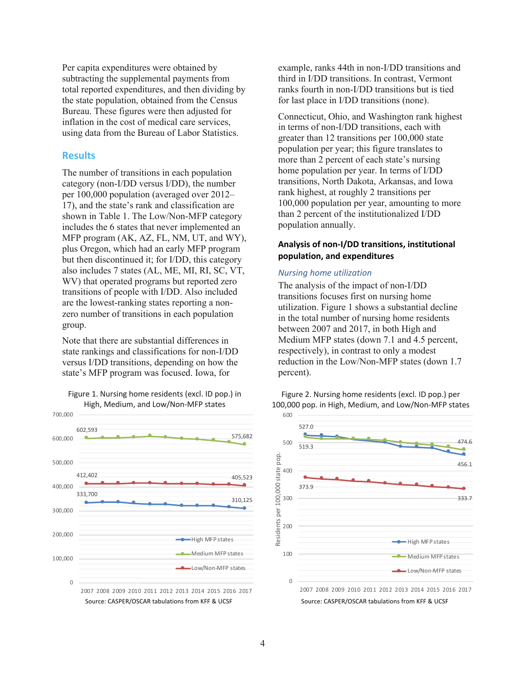Per capita expenditures were obtained by subtracting the supplemental payments from total reported expenditures, and then dividing by the state population, obtained from the Census Bureau. These figures were then adjusted for inflation in the cost of medical care services, using data from the Bureau of Labor Statistics.

## **Results**

The number of transitions in each population category (non-I/DD versus I/DD), the number per 100,000 population (averaged over 2012– 17), and the state's rank and classification are shown in Table 1. The Low/Non-MFP category includes the 6 states that never implemented an MFP program (AK, AZ, FL, NM, UT, and WY), plus Oregon, which had an early MFP program but then discontinued it; for I/DD, this category also includes 7 states (AL, ME, MI, RI, SC, VT, WV) that operated programs but reported zero transitions of people with I/DD. Also included are the lowest-ranking states reporting a nonzero number of transitions in each population group.

Note that there are substantial differences in state rankings and classifications for non-I/DD versus I/DD transitions, depending on how the state's MFP program was focused. Iowa, for

Figure 1. Nursing home residents (excl. ID pop.) in High, Medium, and Low/Non-MFP states



example, ranks 44th in non-I/DD transitions and third in I/DD transitions. In contrast, Vermont ranks fourth in non-I/DD transitions but is tied for last place in I/DD transitions (none).

Connecticut, Ohio, and Washington rank highest in terms of non-I/DD transitions, each with greater than 12 transitions per 100,000 state population per year; this figure translates to more than 2 percent of each state's nursing home population per year. In terms of I/DD transitions, North Dakota, Arkansas, and Iowa rank highest, at roughly 2 transitions per 100,000 population per year, amounting to more than 2 percent of the institutionalized I/DD population annually.

# **Analysis of non-I/DD transitions, institutional population, and expenditures**

#### *Nursing home utilization*

The analysis of the impact of non-I/DD transitions focuses first on nursing home utilization. Figure 1 shows a substantial decline in the total number of nursing home residents between 2007 and 2017, in both High and Medium MFP states (down 7.1 and 4.5 percent, respectively), in contrast to only a modest reduction in the Low/Non-MFP states (down 1.7 percent).





Source: CASPER/OSCAR tabulations from KFF & UCSF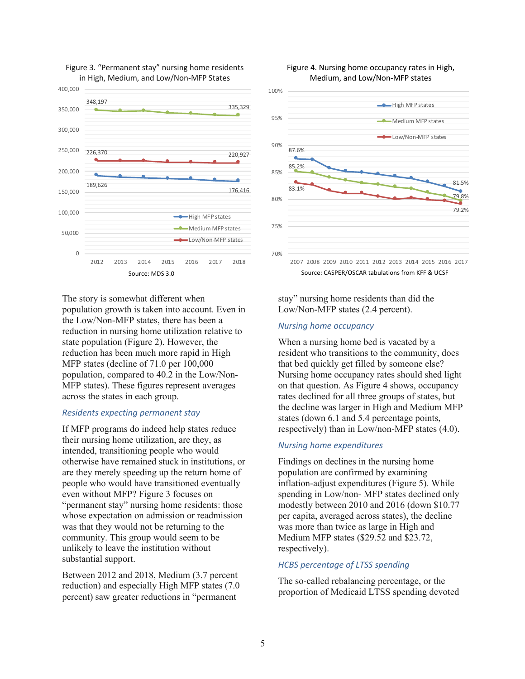

#### Figure 3. "Permanent stay" nursing home residents in High, Medium, and Low/Non-MFP States

The story is somewhat different when population growth is taken into account. Even in the Low/Non-MFP states, there has been a reduction in nursing home utilization relative to state population (Figure 2). However, the reduction has been much more rapid in High MFP states (decline of 71.0 per 100,000 population, compared to 40.2 in the Low/Non-MFP states). These figures represent averages across the states in each group.

#### *Residents expecting permanent stay*

If MFP programs do indeed help states reduce their nursing home utilization, are they, as intended, transitioning people who would otherwise have remained stuck in institutions, or are they merely speeding up the return home of people who would have transitioned eventually even without MFP? Figure 3 focuses on "permanent stay" nursing home residents: those whose expectation on admission or readmission was that they would not be returning to the community. This group would seem to be unlikely to leave the institution without substantial support.

Between 2012 and 2018, Medium (3.7 percent reduction) and especially High MFP states (7.0 percent) saw greater reductions in "permanent



Figure 4. Nursing home occupancy rates in High,

stay" nursing home residents than did the Low/Non-MFP states (2.4 percent).

### *Nursing home occupancy*

When a nursing home bed is vacated by a resident who transitions to the community, does that bed quickly get filled by someone else? Nursing home occupancy rates should shed light on that question. As Figure 4 shows, occupancy rates declined for all three groups of states, but the decline was larger in High and Medium MFP states (down 6.1 and 5.4 percentage points, respectively) than in Low/non-MFP states (4.0).

#### *Nursing home expenditures*

Findings on declines in the nursing home population are confirmed by examining inflation-adjust expenditures (Figure 5). While spending in Low/non- MFP states declined only modestly between 2010 and 2016 (down \$10.77 per capita, averaged across states), the decline was more than twice as large in High and Medium MFP states (\$29.52 and \$23.72, respectively).

## *HCBS percentage of LTSS spending*

The so-called rebalancing percentage, or the proportion of Medicaid LTSS spending devoted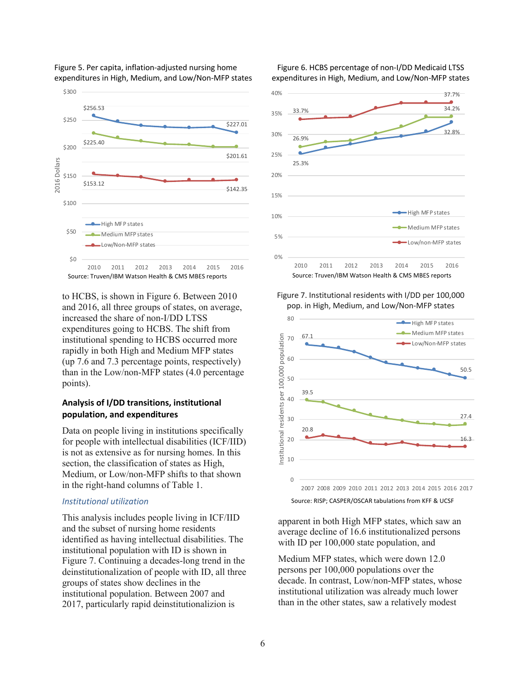

Figure 5. Per capita, inflation-adjusted nursing home expenditures in High, Medium, and Low/Non-MFP states

to HCBS, is shown in Figure 6. Between 2010 and 2016, all three groups of states, on average, increased the share of non-I/DD LTSS expenditures going to HCBS. The shift from institutional spending to HCBS occurred more rapidly in both High and Medium MFP states (up 7.6 and 7.3 percentage points, respectively) than in the Low/non-MFP states (4.0 percentage points).

# **Analysis of I/DD transitions, institutional population, and expenditures**

Data on people living in institutions specifically for people with intellectual disabilities (ICF/IID) is not as extensive as for nursing homes. In this section, the classification of states as High, Medium, or Low/non-MFP shifts to that shown in the right-hand columns of Table 1.

#### *Institutional utilization*

This analysis includes people living in ICF/IID and the subset of nursing home residents identified as having intellectual disabilities. The institutional population with ID is shown in Figure 7. Continuing a decades-long trend in the deinstitutionalization of people with ID, all three groups of states show declines in the institutional population. Between 2007 and 2017, particularly rapid deinstitutionalizion is

Figure 6. HCBS percentage of non-I/DD Medicaid LTSS expenditures in High, Medium, and Low/Non-MFP states



Figure 7. Institutional residents with I/DD per 100,000 pop. in High, Medium, and Low/Non-MFP states



apparent in both High MFP states, which saw an average decline of 16.6 institutionalized persons with ID per 100,000 state population, and

Medium MFP states, which were down 12.0 persons per 100,000 populations over the decade. In contrast, Low/non-MFP states, whose institutional utilization was already much lower than in the other states, saw a relatively modest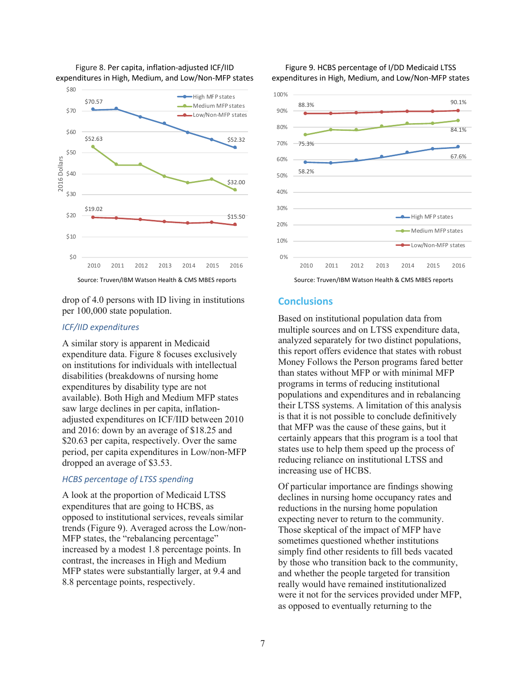

Figure 8. Per capita, inflation-adjusted ICF/IID expenditures in High, Medium, and Low/Non-MFP states

Source: Truven/IBM Watson Health & CMS MBES reports

drop of 4.0 persons with ID living in institutions per 100,000 state population.

# *ICF/IID expenditures*

A similar story is apparent in Medicaid expenditure data. Figure 8 focuses exclusively on institutions for individuals with intellectual disabilities (breakdowns of nursing home expenditures by disability type are not available). Both High and Medium MFP states saw large declines in per capita, inflationadjusted expenditures on ICF/IID between 2010 and 2016: down by an average of \$18.25 and \$20.63 per capita, respectively. Over the same period, per capita expenditures in Low/non-MFP dropped an average of \$3.53.

## *HCBS percentage of LTSS spending*

A look at the proportion of Medicaid LTSS expenditures that are going to HCBS, as opposed to institutional services, reveals similar trends (Figure 9). Averaged across the Low/non-MFP states, the "rebalancing percentage" increased by a modest 1.8 percentage points. In contrast, the increases in High and Medium MFP states were substantially larger, at 9.4 and 8.8 percentage points, respectively.



Source: Truven/IBM Watson Health & CMS MBES reports

# **Conclusions**

Based on institutional population data from multiple sources and on LTSS expenditure data, analyzed separately for two distinct populations, this report offers evidence that states with robust Money Follows the Person programs fared better than states without MFP or with minimal MFP programs in terms of reducing institutional populations and expenditures and in rebalancing their LTSS systems. A limitation of this analysis is that it is not possible to conclude definitively that MFP was the cause of these gains, but it certainly appears that this program is a tool that states use to help them speed up the process of reducing reliance on institutional LTSS and increasing use of HCBS.

Of particular importance are findings showing declines in nursing home occupancy rates and reductions in the nursing home population expecting never to return to the community. Those skeptical of the impact of MFP have sometimes questioned whether institutions simply find other residents to fill beds vacated by those who transition back to the community, and whether the people targeted for transition really would have remained institutionalized were it not for the services provided under MFP, as opposed to eventually returning to the

Figure 9. HCBS percentage of I/DD Medicaid LTSS expenditures in High, Medium, and Low/Non-MFP states